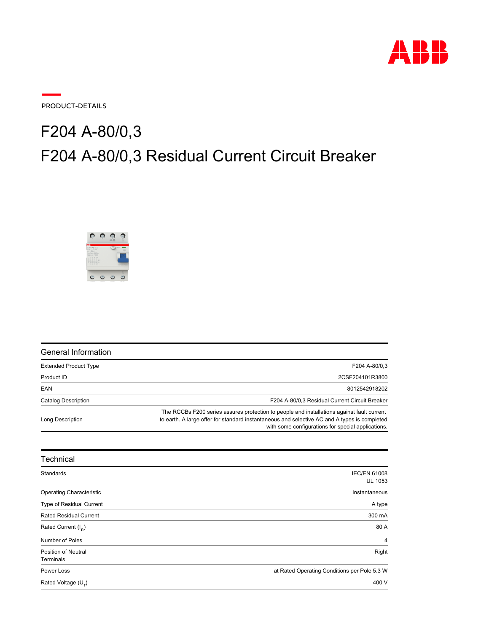

PRODUCT-DETAILS

## F204 A-80/0,3 Residual Current Circuit Breaker **F204 A-80/0,3**



| General Information          |                                                                                                                                                                                                                                                  |
|------------------------------|--------------------------------------------------------------------------------------------------------------------------------------------------------------------------------------------------------------------------------------------------|
| <b>Extended Product Type</b> | F204 A-80/0.3                                                                                                                                                                                                                                    |
| Product ID                   | 2CSF204101R3800                                                                                                                                                                                                                                  |
| EAN                          | 8012542918202                                                                                                                                                                                                                                    |
| Catalog Description          | F204 A-80/0.3 Residual Current Circuit Breaker                                                                                                                                                                                                   |
| Long Description             | The RCCBs F200 series assures protection to people and installations against fault current<br>to earth. A large offer for standard instantaneous and selective AC and A types is completed<br>with some configurations for special applications. |

| Technical                       |                                              |
|---------------------------------|----------------------------------------------|
| Standards                       | <b>IEC/EN 61008</b>                          |
|                                 | <b>UL 1053</b>                               |
| <b>Operating Characteristic</b> | Instantaneous                                |
| Type of Residual Current        | A type                                       |
| <b>Rated Residual Current</b>   | 300 mA                                       |
| Rated Current $(I_n)$           | 80 A                                         |
| Number of Poles                 | $\overline{4}$                               |
| <b>Position of Neutral</b>      | Right                                        |
| Terminals                       |                                              |
| Power Loss                      | at Rated Operating Conditions per Pole 5.3 W |
| Rated Voltage (U <sub>r</sub> ) | 400 V                                        |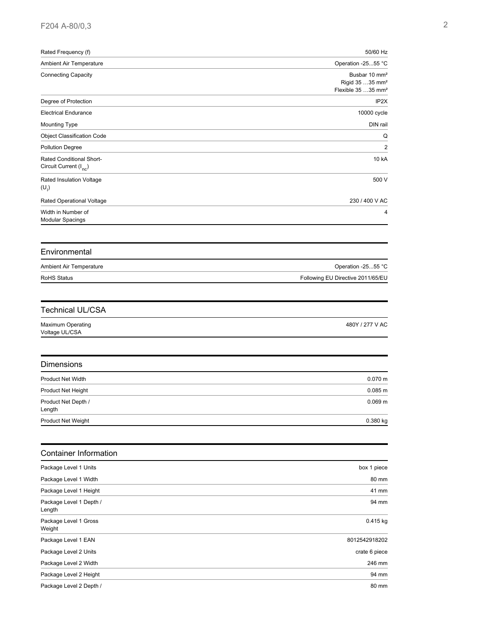| Rated Frequency (f)                                            | 50/60 Hz<br>Operation -2555 °C<br>Busbar 10 mm <sup>2</sup><br>Rigid 35  35 mm <sup>2</sup><br>Flexible 35 35 mm <sup>2</sup> |
|----------------------------------------------------------------|-------------------------------------------------------------------------------------------------------------------------------|
| Ambient Air Temperature                                        |                                                                                                                               |
| <b>Connecting Capacity</b>                                     |                                                                                                                               |
| Degree of Protection                                           | IP <sub>2</sub> X                                                                                                             |
| <b>Electrical Endurance</b>                                    | 10000 cycle                                                                                                                   |
| <b>Mounting Type</b>                                           | DIN rail                                                                                                                      |
| <b>Object Classification Code</b>                              | Q                                                                                                                             |
| Pollution Degree                                               | $\overline{2}$                                                                                                                |
| Rated Conditional Short-<br>Circuit Current (I <sub>nc</sub> ) | 10 kA                                                                                                                         |
| Rated Insulation Voltage<br>$(U_i)$                            | 500 V                                                                                                                         |
| Rated Operational Voltage                                      | 230 / 400 V AC                                                                                                                |
| Width in Number of<br><b>Modular Spacings</b>                  | 4                                                                                                                             |
| Environmental                                                  |                                                                                                                               |
| Ambient Air Temperature                                        | Operation -2555 °C                                                                                                            |
| <b>RoHS Status</b>                                             | Following EU Directive 2011/65/EU                                                                                             |
|                                                                |                                                                                                                               |
| <b>Technical UL/CSA</b>                                        |                                                                                                                               |
| <b>Maximum Operating</b><br>Voltage UL/CSA                     | 480Y / 277 V AC                                                                                                               |
| Dimensions                                                     |                                                                                                                               |
| <b>Product Net Width</b>                                       | $0.070$ m                                                                                                                     |
| Product Net Height                                             | 0.085 m                                                                                                                       |
| Product Net Depth /<br>Length                                  | $0.069$ m                                                                                                                     |
| Product Net Weight                                             | 0.380 kg                                                                                                                      |
| <b>Container Information</b>                                   |                                                                                                                               |
| Package Level 1 Units                                          | box 1 piece                                                                                                                   |
| Package Level 1 Width                                          | 80 mm                                                                                                                         |
| Package Level 1 Height                                         | 41 mm                                                                                                                         |
| Package Level 1 Depth /<br>Length                              | 94 mm                                                                                                                         |
| Package Level 1 Gross<br>Weight                                | 0.415 kg                                                                                                                      |
| Package Level 1 EAN                                            | 8012542918202                                                                                                                 |
| Package Level 2 Units                                          | crate 6 piece                                                                                                                 |
| Package Level 2 Width                                          | 246 mm                                                                                                                        |
| Package Level 2 Height                                         | 94 mm                                                                                                                         |
| Package Level 2 Depth /                                        | 80 mm                                                                                                                         |